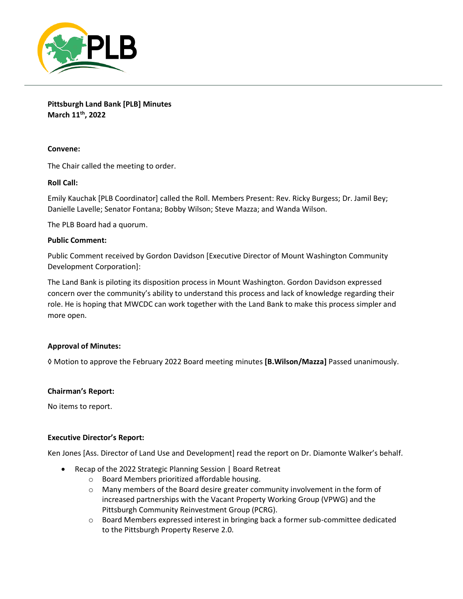

**Pittsburgh Land Bank [PLB] Minutes March 11th, 2022**

# **Convene:**

The Chair called the meeting to order.

# **Roll Call:**

Emily Kauchak [PLB Coordinator] called the Roll. Members Present: Rev. Ricky Burgess; Dr. Jamil Bey; Danielle Lavelle; Senator Fontana; Bobby Wilson; Steve Mazza; and Wanda Wilson.

The PLB Board had a quorum.

## **Public Comment:**

Public Comment received by Gordon Davidson [Executive Director of Mount Washington Community Development Corporation]:

The Land Bank is piloting its disposition process in Mount Washington. Gordon Davidson expressed concern over the community's ability to understand this process and lack of knowledge regarding their role. He is hoping that MWCDC can work together with the Land Bank to make this process simpler and more open.

## **Approval of Minutes:**

◊ Motion to approve the February 2022 Board meeting minutes **[B.Wilson/Mazza]** Passed unanimously.

## **Chairman's Report:**

No items to report.

## **Executive Director's Report:**

Ken Jones [Ass. Director of Land Use and Development] read the report on Dr. Diamonte Walker's behalf.

- Recap of the 2022 Strategic Planning Session | Board Retreat
	- o Board Members prioritized affordable housing.
	- o Many members of the Board desire greater community involvement in the form of increased partnerships with the Vacant Property Working Group (VPWG) and the Pittsburgh Community Reinvestment Group (PCRG).
	- o Board Members expressed interest in bringing back a former sub-committee dedicated to the Pittsburgh Property Reserve 2.0.